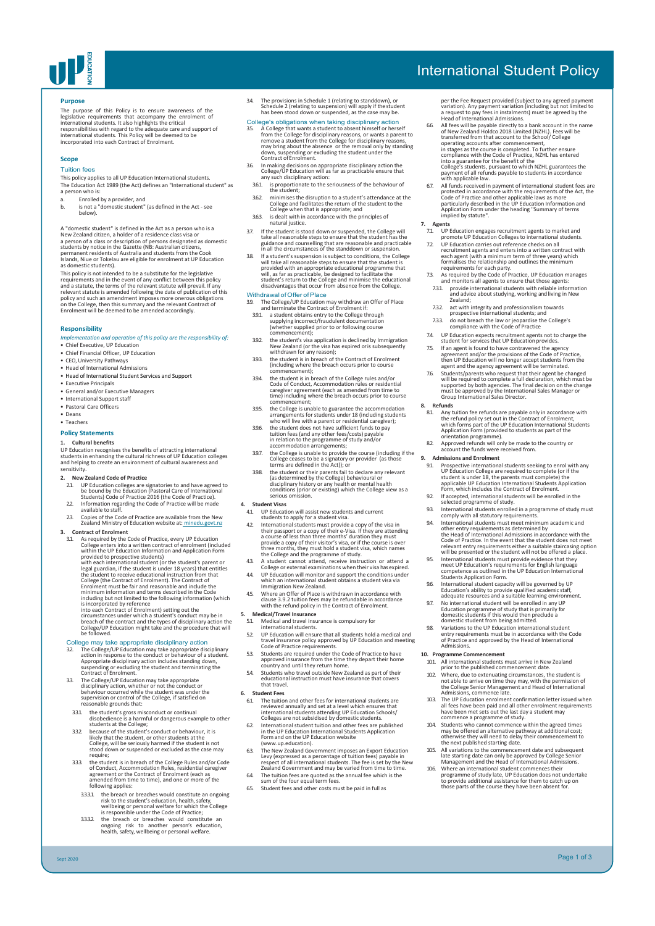

# International Student Policy

### **Purpose**

The purpose of this Policy is to ensure awareness of the<br>legislative requirements that accompany the enrolment of<br>international students. It also highlights the critical<br>responsibilities with regard to the adequate care an

### **Scope**

## Tuition fees

This policy applies to all UP Education International students. The Education Act 1989 (the Act) defines an "International student" as a person who is:

- a. Enrolled by a provider, and<br>b. is not a "domestic student"
- b. is not a "domestic student" (as defined in the Act see below).

A "domestic student" is defined in the Act as a person who is a<br>New Zealand citizen, a holder of a residence class visa or<br>a person of a class or description of persons designated as domestic<br>students by notice in the Gaze

This policy is not intended to be a substitute for the legislative<br>requirements and in the event of any conflict between this policy<br>and a statute, the terms of the relevant statute will prevail. If any<br>relevant statute is

### **Responsibility**

### *Implementation and operation of this policy are the responsibility of:*

- Chief Executive, UP Education • Chief Financial Officer, UP Education
- 
- CEO, University Pathways Head of International Admissions
- Head of International Student Services and Support
- Executive Principals • General and/or Executive Managers
- International Support staff
- Pastoral Care Officers
- Deans
- Teachers

## **Policy Statements**

1. Cultural benefits<br>UP Education recognises the benefits of attracting international<br>students in enhancing the cultural richness of UP Education colleges<br>and helping to create an environment of cultural awareness and<br>sens

- **2. New Zealand Code of Practice** 2.1. UP Education colleges are signatories to and have agreed to be bound by the Education (Pastoral Care of International Students) Code of Practice 2016 (the Code of Practice).
- 2.2. Information regarding the Code of Practice will be made available to staff.
- 2.3. Copies of the Code of Practice are available from the New Zealand Ministry of Education website at: minedu.govt.nz

**3.** Contract of Enrolment Computer and Samplet Computer of the code of Practice, every UP Education college enters into a written contract of enrolment (included by with each within the UP Education Information and Appli breach of the contract and the types of disciplinary action the College/UP Education might take and the procedure that will be followed.

## College may take appropriate disciplinary action<br>32 The College/UP Education may take appropriate disc

32 The College/UP Education may take appropriate disciplinary<br>action in response to the conduct or behaviour of a student.<br>Appropriate disciplinary action includes standing down,<br>suspending or excluding the student and ter

- 33. The College/UP Education may take appropriate<br>disciplinary action, whether or not the conduct or<br>behaviour occurred while the student was under the<br>supervision or control of the College, if satisfied on<br>reasonable gro
- 
- the student's gross misconduct or continual<br>disobedience is a harmful or denoted in students at the College;<br>students at the College;<br>students at the College;<br>lecause of the student is conduct or behaviour, it is<br>likely th
- require;<br>of the student is in breach of the College Rules and/or Code<br>of Conduct, Accommodation Rules, residential caregiver<br>agreement or the Contract of Enrolment (each as<br>amended from time to time), and one or more of th
	- 3.3.3.1. the breach or breaches would constitute an ongoing risk to the student's education, health, safety, wellbeing or personal welfare for which the College is responsible under the Code of Practice;
	- 3.3.3.2. the breach or breaches would constitute an ongoing risk to another person's education, health, safety, wellbeing or personal welfare.

Sept 2020

3.4. The provisions in Schedule 1 (relating to standdown), or Schedule 2 (relating to suspension) will apply if the student has been stood down or suspended, as the case may be.

- College's cobilgations when taking disciplinary action<br>35. A College that wants a student to absent himself or herself<br>from the College for disciplinary reasons, or wants a parent to<br>remove a student from the College for
- 3.6. In making decisions on appropriate disciplinary action the College/UP Education will as far as practicable ensure that any such disciplinary action:
- 3.5.1. Expression and the seriousness of the behaviour of<br>the student:
- the student;<br>minimises the disruption to a student's attendance at the<br>College and facilitates the return of the student to the<br>College when that is appropriate; and<br>363. is dealt with in accordance with the principles of
- 
- 
- natural justice.<br>
In the student is stood down or suspended, the College will<br>
the student is stood down or suspended, the College will<br>
gludance and counselling that are reasonable and practicable<br>
in all the circumstance

- Withdrawal of Offer of Place<br>
and the College/UP Education may withdraw an Offer of Place<br>
and terminate the Contract of Enrolment if:<br>
391. a student obtains entry to the College through<br>
supplying incorrect/Fraudulent do
- 
- 
- 
- 3.9.4. the student is in breach of the College rules and/or Code of Conduct, Accommodation rules or residential caregiver agreement (each as amended from time to time) including where the breach occurs prior to course commencement;
- 3.9.5. the College is unable to guarantee the accommodation arrangements for students under 18 (including students who will live with a parent or residential caregiver);
- 3.9.6. the student does not have sufficient funds to pay tuition fees (and any other fees/costs) payable in relation to the programme of study and/or accommodation arrangements;
- 3.9.7. the College is unable to provide the course (including if the College ceases to be a signatory or provider (as those terms are defined in the Act)); or
- the student or their parents fail to declare any relevant<br>(as determined by the College) behavioural or<br>disciplinary history or any health or mental health<br>conditions (prior or existing) which the College view as a<br>serious

- 
- 4. Student Visas<br>
21 LIP Education will assist new students and current<br>
11 UP Education will assist new students and current<br>
12 LIE international students must provide a copy of the visa in<br>
their passport or a copy of
- 
- 
- 4.5. Where an Offer of Place is withdrawn in accordance with clause 3.9.2 tuition fees may be refundable in accordance with the refund policy in the Contract of Enrolment.
- **5. Medical/Travel Insurance** Medical and travel insurance is compulsory for<br>international students.
- 
- international students.<br>
S2 UP Education will ensure that all students hold a medical and<br>
travel insurance policy approved by UP Education and meeting<br>
Code of Practice requirements.<br>
S3 Students are required under the Co
- 
- 
- **6. Student Fees**
- 61. The tuition and other fees for international students are<br>reviewed annually and set at a level which ensures that<br>international students attending UP Education Schools/<br>Colleges are not subsidised by domestic students
- Form and on the UP Education website (www.up.education).
- 63. The New Zealand Government imposes an Export Education<br>Levy (expressed as a percentage of tuition fees) payable in<br>respect of all international students. The fee is set by the New<br>Zealand Government and may be varied f
- 6.4. The tuition fees are quoted as the annual fee which is the sum of the four equal term fees.
- 6.5. Student fees and other costs must be paid in full as
- per the Fee Request provided (subject to any agreed payment variation). Any payment variation (including but not limited to a request to pay fees in instalments) must be agreed by the Head of International Admissions.
- 66. All fees will be payable directly to a bank account in the name<br>of New Zealand Holdco 2018 Limited (NZHL). Fees will be<br>transferred from that account to the School/ College<br>operating accounts after commencement,<br>in sta
- compliance with the Code of Practice, NZHL has entered<br>compliance with the Code of Practice, NZHL has entered<br>college's students, pursuant to which NZHL gurarantes the<br>payment of all refunds payable to students in accordan

- 
- 7. Agents<br>
2. UP Education engages recruitment agents to market and<br>
2. UP Education colleges to international students.<br>
2. UP Education carries out reference checks on all<br>
1. The Caustin endiation is electioned in the
- 
- 
- 7.3.2. act with integrity and professionalism towards prospective international students; and
- 7.3.3. do not breach the law or jeopardise the College's compliance with the Code of Practice
- 7.4. UP Education expects recruitment agents not to charge the student for services that UP Education provides.
- 
- student for services that UP Education provides.<br>
75. If an agent is found to have contravered the agency<br>
agreement and/or the provisions of the Code of Practice,<br>
then UP Education will no longer accept students from the

## **8. Refunds**

- 8.1. Any tuition fee refunds are payable only in accordance with the refund policy set out in the Contract of Enrolment, which forms part of the UP Education International Students Application Form (provided to students as part of the orientation programme). 8.2. Approved refunds will only be made to the country or
- E. Approved retained will bring be made a<br>account the funds were received from.<br>Admissions and Enrolment.
- 

**10. Programme Commencement**

- **9. Admissions and Enrolment**<br>
91. Prospective international students seeking to enrol with any<br>
UP Education College are required to complete (or if the<br>
student is under 18, the parents must complete) the<br>
applicable U
- 9.2. If accepted, international students will be enrolled in the selected programme of study. 9.3. International students enrolled in a programme of study must comply with all statutory requirements.
- 
- 94. International students must meet minimum academic and<br>other entry requirements as determined by<br>the Head of International Admissions in accordance with the<br>Code of Practice. In the event that the student does not meet<br>
- 
- 9.6. International student capacity will be governed by UP Education's ability to provide qualified academic staff, adequate resources and a suitable learning environment.
- 9.7. No international student will be enrolled in any UP Education programme of study that is primarily for domestic students if this would then preclude a domestic student from being admitted.
- 9.8. Variations to the UP Education international student entry requirements must be in accordance with the Code of Practice and approved by the Head of International Admissions.

10.1. All international students must arrive in New Zealand prior to the published commencement date. 10.2. Where, due to extenuating circumstances, the student is not able to arrive on time they may, with the permission of the College Senior Management and Head of International Admissions, commence late. Admissions, commence race.<br>10.3. The UP Education enrolment confirmation letter issued when<br>all fees have been paid and all other enrolment requirements

all fees have been paid and all other enrolment requirements<br>all near been paid and all other enrolment requirements<br>commence a programme of study.<br>Students who cannot commence within the agreed times<br>may be offered an alt

Page 1 of 3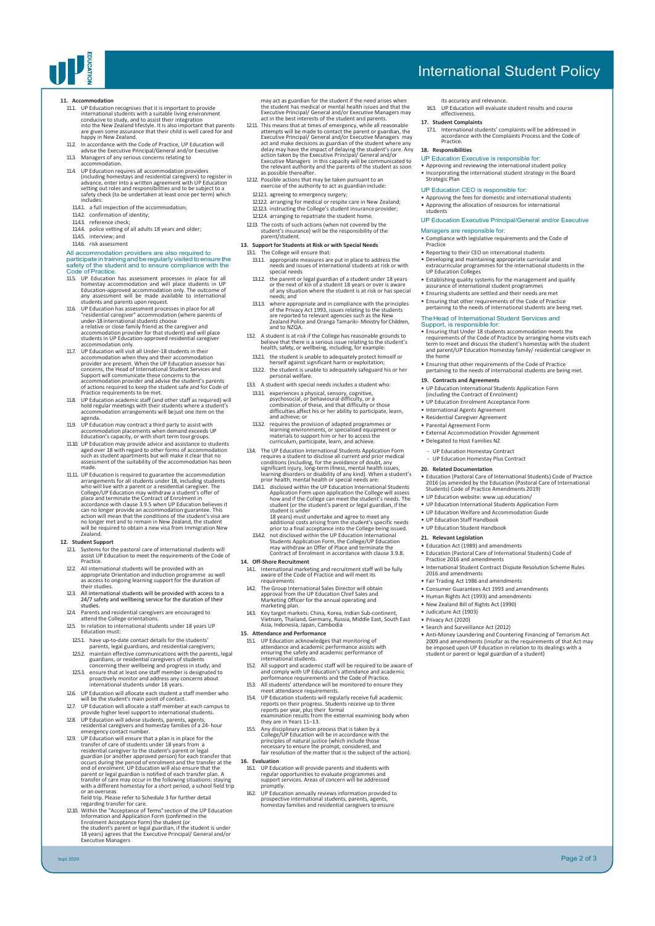

# International Student Policy

- 11. Accommodation recognises that it is important to provide<br>international students with a suitable living environment<br>conducive to study, and to assist their integration<br>into the New Zealand lifestyle. It is also importan
- 11.2. In accordance with the Code of Practice, UP Education will advise the Executive Principal/General and/or Executive 11.3. Managers of any serious concerns relating to accommodation.
- 
- 114. UP Education requires all accommodation providers<br>(including homestays and residential caregivers) to register in<br>advance, enter into a written agreement with UP Education<br>setting out roles and responsibilities and to
- includes: 11.4.1. a full inspection of the accommodation;
- 
- 11.4.2. confirmation of identity; 11.4.3. reference check; 11.4.4. police vetting of all adults 18 years and older;
- 
- 11.45. interview; and<br>11.46. risk assessment

- 
- 1146. risk assessment<br>
all and accommodation providers are also required to<br>
All accommodation providers are also required to<br>
participate in training and be regularly visited to ensure the<br>
safety of the student and to e
- 117. UP Education will visit all Under-18 students in their<br>accommodation when they and their accommodation<br>provider are present. When the UP Education assessor has<br>concerns, the Head of International Student Services and Support will communicate these concerns to the accommodation provider and advise the student's parents of actions required to keep the student safe and for Code of Practice requirements to be met.
- 11.8. UP Education academic staff (and other staff as required) will hold regular meetings with their students where a student's accommodation arrangements will be just one item on the agenda.
- 11.9. UP Education may contract a third party to assist with accommodation placements when demand exceeds UP Education's capacity, or with short term tour groups.
- 11.10. UP Education may provide advice and assistance to students<br>aged over 18 with regard to other forms of accommodation<br>such as student apartments but will make it clear that no<br>assessment of the suitability of the acco made.
- 11.11. UP Education is required to guarantee the accommodation arrangements for all students under 18, including students<br>who will live with a parent or a residential caregiver. The<br>College/UP Education may withdraw a student's offer of<br>place and terminate the Contract of Enrolment in can no longer provide an accommodation guarantee. This action will mean that the conditions of the student's visa are no longer met and to remain in New Zealand, the student will be required to obtain a new visa from Immigration New will be r<br>Zealand

# **12. Student Support**

Sept 2020

- 12.1. Systems for the pastoral care of international students will assist UP Education to meet the requirements of the Code of Practice.
- 12.2. All international students will be provided with an appropriate Orientation and induction programme as well as access to ongoing learning support for the duration of their studies.
- 12.3. All international students will be provided with access to a 24/7 safety and wellbeing service for the duration of their studies.
- 12.4. Parents and residential caregivers are encouraged to attend the College orientations. 12.5. In relation to international students under 18 years UP Education must:
- 125.1. have up-to-date contact details for the students
- parents, legal guardians, and residential caregivers;
- 1252 maintain effective communications with the parents, legal<br>guardians, or residential caregivers of students<br>concerning their wellbeing and progress in study; and<br>1253 ensure that at least one staff member is designated
- 12.6. UP Education will allocate each student a staff member who will be the student's main point of contact.
- 
- will be the student's main point of contact.<br>
127. UP Education will allocate a staff member at each campus to<br>
provide higher level support to international students.<br>
128. UP Education will advise students, parents, agen
- 129. UP Education will ensure that a plan is in place for the<br>transfer of care of students under 18 years from a<br>residential caregiver to the student's parent or legal<br>guardian (or another approved person) for each transfe field trip. Please refer to Schedule 3 for further detail
- regarding transfer for care. 12.10. Within the "Acceptance of Terms" section of the UP Education Information and Application Form (confirmed in the<br>Enrolment Acceptance Form) the student (or<br>the student's parent or legal guardian, if the student is under<br>18 years) agrees that the Executive Principal/ General and/or<br>Ex

may act as guardian for the student if the need arises when<br>the student has medical or mental health issues and that the<br>Executive Principal/ General and/or Executive Managers may<br>act in the best interests of the student a

- 1211. This means that at times of emergency, while all reasonable<br>attempts will be made to contact the parent or guardian, the<br>Executive Principal/ General and/or Executive Managers may<br>act and make decisions as guardian Executive Managers in this capacity will be communicated to the relevant authority and the parents of the student as soon as possible thereafter.
- 12.12. Possible actions that may be taken pursuant to an exercise of the authority to act as guardianinclude:
- 12.12.1. agreeing to emergency surgery; 12.12.2. arranging for medical or respite care in New Zealand;
- 12.12.3. instructing the College's student insurance provider; 12.12.4. arranging to repatriate the student home.
- 12.13. The costs of such actions (when not covered by the student's insurance) will be the responsibility of the parent/student.
- **13. Support for Students at Risk or with Special Needs**
	- The College will ensure that: 13.1.1. appropriate measures are put in place to address the needs and issues of international students at risk or with special needs
	- 13.1.2. the parent or legal guardian of a student under 18 years or the next of kin of a student 18 years or over is aware of any situation where the student is at risk or has special needs; and
	- 131.3 where appropriate and in compliance with the principles<br>of the Privacy Act 1993, issues relating to the students<br>are reported to relevant agencies such as the New<br>Zealand Police and Oranga Tamariki-Ministry for Child and to NZQA.
	- 13.2. A student is at risk if the College has reasonable grounds to believe that there is a serious issue relating to the student's health, safety, or wellbeing, including, for example:
	- 13.2.1. the student is unable to adequately protect himself or herself against significant harm or exploitation;
	- 13.2.2. the student is unable to adequately safeguard his or her personal welfare. 13.3. A student with special needs includes a student who:
	- 13.3.1. experiences a physical, sensory, cognitive, psychosocial, or behavioural difficulty, or a combination of these, and that difficulty or those difficulties affect his or her ability to participate, learn, and achieve; or
	- 13.3.2. requires the provision of adapted programmes or learning environments, or specialised equipment or materials to support him or her to access the curriculum, participate, learn, and achieve.
	- The UP Education International Students Application Form<br>requires a student to disclose all current and prior medical<br>conditions (including, for the avoidance of doubt, any<br>significant injury, long-term illness, mental he
	- 18 years) must undertake and agree to meet any
	- additional costs arising from the student's specific needs prior to a final acceptance into the College being issued. 13.4.2. not disclosed within the UP Education International Students Application Form, the College/UP Education may withdraw an Offer of Place and terminate the Contract of Enrolment in accordance with clause 3.9.8.
- **14. Off-Shore Recruitment**
- 14.1. International marketing and recruitment staff will be fully aware of the Code of Practice and will meet its requirements<br>The Group International Sales Director will obtain
- 14.2. The Group International Sales Director will obtain approval from the UP Education Chief Sales and Marketing Officer for the annual operating and marketing plan.
- 14.3. Key target markets: China, Korea, Indian Sub-continent, Vietnam, Thailand, Germany, Russia, Middle East, South East Asia, Indonesia, Japan, Cambodia
- **15. Attendance and Performance**
- 15.1. UP Education acknowledges that monitoring of attendance and academic performance assists with ensuring the safety and academic performance of international students.
- 15.2. All support and academic staff will be required to be aware of and comply with UP Education's attendance and academic
- 
- 
- performance requirements and the Code of Practice.<br>
All students' attendance will be monitored to ensure they<br>
meet attendance requirements.<br>
154. UP Education students will regularly receive full academic<br>
reports on thei **16. Evaluation**
- 16.1. UP Education will provide parents and students with regular opportunities to evaluate programmes and support services. Areas of concern will be addressed promptly.
- 16.2. UP Education annually reviews information provided to prospective international students, parents, agents, homestay families and residential caregivers toensure
- its accuracy and relevance. 16.3. UP Education will evaluate student results and course effectiveness.
- 
- **17. Student Complaints**<br>
17.1. International students' complaints will be addressed in<br>
accordance with the Complaints Process and the Code of<br>
Practice.

### **18. Responsibilities**

UP Education Executive is responsible for:

• Approving and reviewing the international student policy • Incorporating the international student strategy in the Board Strategic Plan

- 
- 
- UP Education CEO is responsible for: Approving the fees for domestic and international students Approving the allocation of resources for international students

## UP Education Executive Principal/General and/or Executive

- Managers are responsible for: • Compliance with legislative requirements and the Code of Practice
- 
- Reporting to their CEO on international students Developing and maintaining appropriate curricular and extracurricular programmes for the international students in the UP Education Colleges
- 
- Establishing quality systems for the management and quality assurance of international student programmes Ensuring students are settled and their needs are met
- 
- Ensuring that other requirements of the Code of Practice pertaining to the needs of international students are being met.

## The Head of International Student Services and<br>Support, is responsible for:

- Ensuring that Under 18 students accommodation meets the requirements of the Code of Practice by arranging home visits each term to meet and discuss the student's homestay with the student and parent/UP Education Homestay family/ residential caregiver in
- the home
- Ensuring that other requirements of the Code of Practice pertaining to the needs of international students are being met.
- **19. Contracts and Agreements**
- UP Education International Students Application Form (including the Contract of Enrolment) UP Education Enrolment Acceptance Form
- 
- International Agents Agreement
- Residential Caregiver Agreement
- 
- Parental Agreement Form External Accommodation Provider Agreement
- Delegated to Host Families NZ
	- UP Education Homestay Contract
	- UP Education Homestay Plus Contract
- **20. Related Documentation**
- Education (Pastoral Care of International Students) Code of Practice 2016 (as amended by the Education (Pastoral Care of International Students) Code of Practice Amendments 2019)
- UP Education website: [www.up.education/](http://www.up.education/)
- UP Education International Students Application Form

• Education (Pastoral Care of International Students) Code of Practice 2016 and amendments • International Student Contract Dispute Resolution Scheme Rules 2016 and amendments • Fair Trading Act 1986 and amendments

• Anti-Money Laundering and Countering Financing of Terrorism Act<br>2009 and amendments (insofar as the requirements of that Act may<br>be imposed upon UP Education in relation to its dealings with a<br>student or parent or legal

Page 2 of 3

• UP Education Welfare and Accommodation Guide

• Consumer Guarantees Act 1993 and amendments • Human Rights Act (1993) and amendments • New Zealand Bill of Rights Act (1990) • Judicature Act (1903) • Privacy Act (2020)

• UP Education Staff Handbook • UP Education Student Handbook

• Search and Surveillance Act (2012)

**21. Relevant Legislation** • Education Act (1989) and amendments